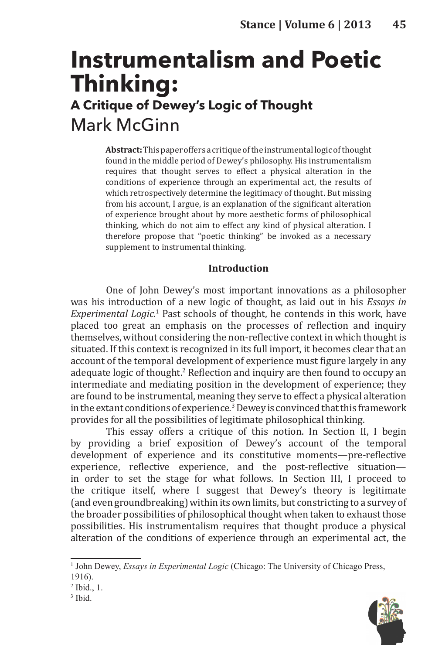# **Instrumentalism and Poetic Thinking: A Critique of Dewey's Logic of Thought** Mark McGinn

**Abstract:** This paper offers a critique of the instrumental logic of thought found in the middle period of Dewey's philosophy. His instrumentalism requires that thought serves to effect a physical alteration in the conditions of experience through an experimental act, the results of which retrospectively determine the legitimacy of thought. But missing from his account, I argue, is an explanation of the significant alteration of experience brought about by more aesthetic forms of philosophical thinking, which do not aim to effect any kind of physical alteration. I therefore propose that "poetic thinking" be invoked as a necessary supplement to instrumental thinking.

## **Introduction**

One of John Dewey's most important innovations as a philosopher was his introduction of a new logic of thought, as laid out in his *Essays in Experimental Logic.*<sup>1</sup> Past schools of thought, he contends in this work, have placed too great an emphasis on the processes of reflection and inquiry themselves, without considering the non-reflective context in which thought is situated. If this context is recognized in its full import, it becomes clear that an account of the temporal development of experience must figure largely in any adequate logic of thought.<sup>2</sup> Reflection and inquiry are then found to occupy an intermediate and mediating position in the development of experience; they are found to be instrumental, meaning they serve to effect a physical alteration in the extant conditions of experience*.* 3Dewey is convinced that this framework provides for all the possibilities of legitimate philosophical thinking.

This essay offers a critique of this notion. In Section II, I begin by providing a brief exposition of Dewey's account of the temporal development of experience and its constitutive moments—pre-reflective experience, reflective experience, and the post-reflective situation in order to set the stage for what follows. In Section III, I proceed to the critique itself, where I suggest that Dewey's theory is legitimate (and even groundbreaking) within its own limits, but constricting to a survey of the broader possibilities of philosophical thought when taken to exhaust those possibilities. His instrumentalism requires that thought produce a physical alteration of the conditions of experience through an experimental act, the



<sup>&</sup>lt;sup>1</sup> John Dewey, *Essays in Experimental Logic* (Chicago: The University of Chicago Press, 1916).

<sup>2</sup> Ibid., 1.

<sup>3</sup> Ibid.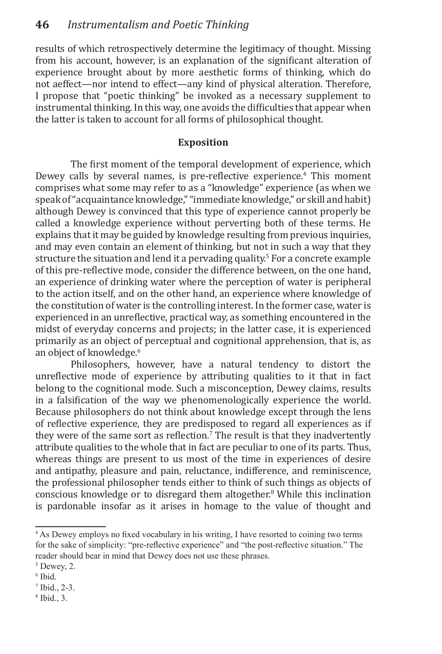results of which retrospectively determine the legitimacy of thought. Missing from his account, however, is an explanation of the significant alteration of experience brought about by more aesthetic forms of thinking, which do not aeffect—nor intend to effect—any kind of physical alteration. Therefore, I propose that "poetic thinking" be invoked as a necessary supplement to instrumental thinking. In this way, one avoids the difficulties that appear when the latter is taken to account for all forms of philosophical thought.

## **Exposition**

The first moment of the temporal development of experience, which Dewey calls by several names, is pre-reflective experience.<sup>4</sup> This moment comprises what some may refer to as a "knowledge" experience (as when we speak of "acquaintance knowledge," "immediate knowledge," or skill and habit) although Dewey is convinced that this type of experience cannot properly be called a knowledge experience without perverting both of these terms. He explains that it may be guided by knowledge resulting from previous inquiries, and may even contain an element of thinking, but not in such a way that they structure the situation and lend it a pervading quality.<sup>5</sup> For a concrete example of this pre-reflective mode, consider the difference between, on the one hand, an experience of drinking water where the perception of water is peripheral to the action itself, and on the other hand, an experience where knowledge of the constitution of water is the controlling interest. In the former case, water is experienced in an unreflective, practical way, as something encountered in the midst of everyday concerns and projects; in the latter case, it is experienced primarily as an object of perceptual and cognitional apprehension, that is, as an object of knowledge.<sup>6</sup>

Philosophers, however, have a natural tendency to distort the unreflective mode of experience by attributing qualities to it that in fact belong to the cognitional mode. Such a misconception, Dewey claims, results in a falsification of the way we phenomenologically experience the world. Because philosophers do not think about knowledge except through the lens of reflective experience, they are predisposed to regard all experiences as if they were of the same sort as reflection.<sup>7</sup> The result is that they inadvertently attribute qualities to the whole that in fact are peculiar to one of its parts. Thus, whereas things are present to us most of the time in experiences of desire and antipathy, pleasure and pain, reluctance, indifference, and reminiscence, the professional philosopher tends either to think of such things as objects of conscious knowledge or to disregard them altogether.8 While this inclination is pardonable insofar as it arises in homage to the value of thought and

<sup>4</sup> As Dewey employs no fixed vocabulary in his writing, I have resorted to coining two terms for the sake of simplicity: "pre-reflective experience" and "the post-reflective situation." The reader should bear in mind that Dewey does not use these phrases.

<sup>5</sup> Dewey, 2.

<sup>6</sup> Ibid.

<sup>7</sup> Ibid., 2-3.

<sup>8</sup> Ibid., 3.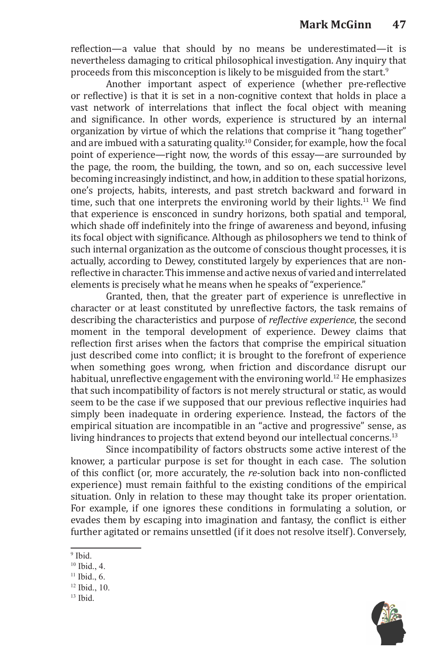reflection—a value that should by no means be underestimated—it is nevertheless damaging to critical philosophical investigation. Any inquiry that proceeds from this misconception is likely to be misguided from the start.<sup>9</sup>

Another important aspect of experience (whether pre-reflective or reflective) is that it is set in a non-cognitive context that holds in place a vast network of interrelations that inflect the focal object with meaning and significance. In other words, experience is structured by an internal organization by virtue of which the relations that comprise it "hang together" and are imbued with a saturating quality.<sup>10</sup> Consider, for example, how the focal point of experience—right now, the words of this essay—are surrounded by the page, the room, the building, the town, and so on, each successive level becoming increasingly indistinct, and how, in addition to these spatial horizons, one's projects, habits, interests, and past stretch backward and forward in time, such that one interprets the environing world by their lights.<sup>11</sup> We find that experience is ensconced in sundry horizons, both spatial and temporal, which shade off indefinitely into the fringe of awareness and beyond, infusing its focal object with significance. Although as philosophers we tend to think of such internal organization as the outcome of conscious thought processes, it is actually, according to Dewey, constituted largely by experiences that are nonreflective in character. This immense and active nexus of varied and interrelated elements is precisely what he means when he speaks of "experience."

Granted, then, that the greater part of experience is unreflective in character or at least constituted by unreflective factors, the task remains of describing the characteristics and purpose of *reflective experience*, the second moment in the temporal development of experience. Dewey claims that reflection first arises when the factors that comprise the empirical situation just described come into conflict; it is brought to the forefront of experience when something goes wrong, when friction and discordance disrupt our habitual, unreflective engagement with the environing world.<sup>12</sup> He emphasizes that such incompatibility of factors is not merely structural or static, as would seem to be the case if we supposed that our previous reflective inquiries had simply been inadequate in ordering experience. Instead, the factors of the empirical situation are incompatible in an "active and progressive" sense, as living hindrances to projects that extend beyond our intellectual concerns.<sup>13</sup>

Since incompatibility of factors obstructs some active interest of the knower, a particular purpose is set for thought in each case. The solution of this conflict (or, more accurately, the *re-*solution back into non-conflicted experience) must remain faithful to the existing conditions of the empirical situation. Only in relation to these may thought take its proper orientation. For example, if one ignores these conditions in formulating a solution, or evades them by escaping into imagination and fantasy, the conflict is either further agitated or remains unsettled (if it does not resolve itself). Conversely,



<sup>&</sup>lt;sup>9</sup> Ibid.

<sup>10</sup> Ibid., 4.

 $11$  Ibid., 6.

<sup>12</sup> Ibid., 10.

 $13$  Ibid.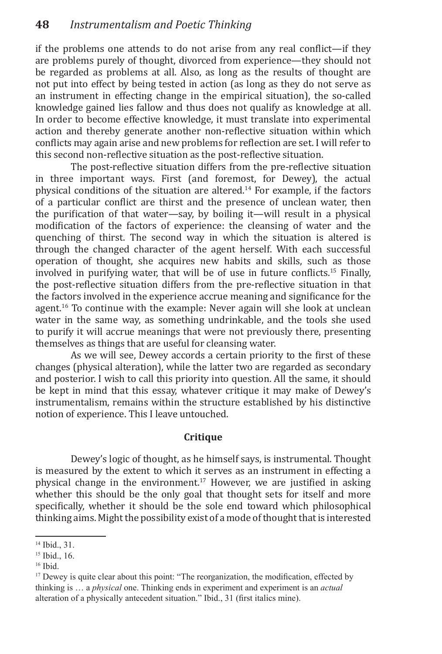if the problems one attends to do not arise from any real conflict—if they are problems purely of thought, divorced from experience—they should not be regarded as problems at all. Also, as long as the results of thought are not put into effect by being tested in action (as long as they do not serve as an instrument in effecting change in the empirical situation), the so-called knowledge gained lies fallow and thus does not qualify as knowledge at all. In order to become effective knowledge, it must translate into experimental action and thereby generate another non-reflective situation within which conflicts may again arise and new problems for reflection are set. I will refer to this second non-reflective situation as the post-reflective situation.

The post-reflective situation differs from the pre-reflective situation in three important ways. First (and foremost, for Dewey), the actual physical conditions of the situation are altered.<sup>14</sup> For example, if the factors of a particular conflict are thirst and the presence of unclean water, then the purification of that water—say, by boiling it—will result in a physical modification of the factors of experience: the cleansing of water and the quenching of thirst. The second way in which the situation is altered is through the changed character of the agent herself. With each successful operation of thought, she acquires new habits and skills, such as those involved in purifying water, that will be of use in future conflicts.15 Finally, the post-reflective situation differs from the pre-reflective situation in that the factors involved in the experience accrue meaning and significance for the agent.<sup>16</sup> To continue with the example: Never again will she look at unclean water in the same way, as something undrinkable, and the tools she used to purify it will accrue meanings that were not previously there, presenting themselves as things that are useful for cleansing water.

As we will see, Dewey accords a certain priority to the first of these changes (physical alteration), while the latter two are regarded as secondary and posterior. I wish to call this priority into question. All the same, it should be kept in mind that this essay, whatever critique it may make of Dewey's instrumentalism, remains within the structure established by his distinctive notion of experience. This I leave untouched.

### **Critique**

Dewey's logic of thought, as he himself says, is instrumental. Thought is measured by the extent to which it serves as an instrument in effecting a physical change in the environment.17 However, we are justified in asking whether this should be the only goal that thought sets for itself and more specifically, whether it should be the sole end toward which philosophical thinking aims. Might the possibility exist of a mode of thought that is interested

<sup>14</sup> Ibid., 31.

<sup>15</sup> Ibid., 16.

<sup>16</sup> Ibid.

<sup>&</sup>lt;sup>17</sup> Dewey is quite clear about this point: "The reorganization, the modification, effected by thinking is … a *physical* one. Thinking ends in experiment and experiment is an *actual*  alteration of a physically antecedent situation." Ibid., 31 (first italics mine).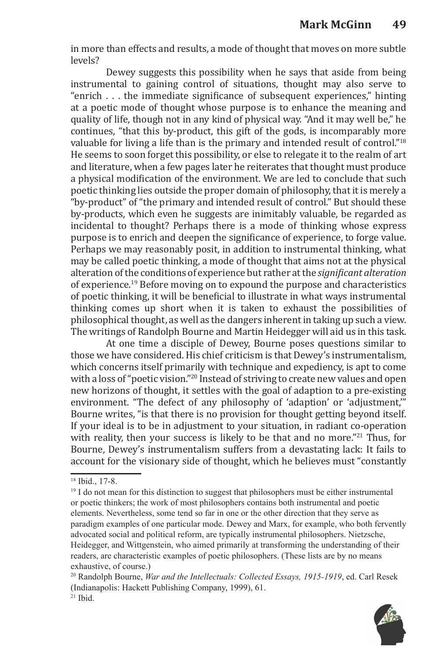in more than effects and results, a mode of thought that moves on more subtle levels?

Dewey suggests this possibility when he says that aside from being instrumental to gaining control of situations, thought may also serve to "enrich . . . the immediate significance of subsequent experiences," hinting at a poetic mode of thought whose purpose is to enhance the meaning and quality of life, though not in any kind of physical way. "And it may well be," he continues, "that this by-product, this gift of the gods, is incomparably more valuable for living a life than is the primary and intended result of control."18 He seems to soon forget this possibility, or else to relegate it to the realm of art and literature, when a few pages later he reiterates that thought must produce a physical modification of the environment. We are led to conclude that such poetic thinking lies outside the proper domain of philosophy, that it is merely a "by-product" of "the primary and intended result of control." But should these by-products, which even he suggests are inimitably valuable, be regarded as incidental to thought? Perhaps there is a mode of thinking whose express purpose is to enrich and deepen the significance of experience, to forge value. Perhaps we may reasonably posit, in addition to instrumental thinking, what may be called poetic thinking, a mode of thought that aims not at the physical alteration of the conditions of experience but rather at the *significant alteration*  of experience.19 Before moving on to expound the purpose and characteristics of poetic thinking, it will be beneficial to illustrate in what ways instrumental thinking comes up short when it is taken to exhaust the possibilities of philosophical thought, as well as the dangers inherent in taking up such a view. The writings of Randolph Bourne and Martin Heidegger will aid us in this task.

At one time a disciple of Dewey, Bourne poses questions similar to those we have considered. His chief criticism is that Dewey's instrumentalism, which concerns itself primarily with technique and expediency, is apt to come with a loss of "poetic vision."<sup>20</sup> Instead of striving to create new values and open new horizons of thought, it settles with the goal of adaption to a pre-existing environment. "The defect of any philosophy of 'adaption' or 'adjustment,'" Bourne writes, "is that there is no provision for thought getting beyond itself. If your ideal is to be in adjustment to your situation, in radiant co-operation with reality, then your success is likely to be that and no more."<sup>21</sup> Thus, for Bourne, Dewey's instrumentalism suffers from a devastating lack: It fails to account for the visionary side of thought, which he believes must "constantly

<sup>20</sup> Randolph Bourne, *War and the Intellectuals: Collected Essays, 1915-1919*, ed. Carl Resek (Indianapolis: Hackett Publishing Company, 1999), 61.  $21$  Ibid.



<sup>18</sup> Ibid., 17-8.

<sup>&</sup>lt;sup>19</sup> I do not mean for this distinction to suggest that philosophers must be either instrumental or poetic thinkers; the work of most philosophers contains both instrumental and poetic elements. Nevertheless, some tend so far in one or the other direction that they serve as paradigm examples of one particular mode. Dewey and Marx, for example, who both fervently advocated social and political reform, are typically instrumental philosophers. Nietzsche, Heidegger, and Wittgenstein, who aimed primarily at transforming the understanding of their readers, are characteristic examples of poetic philosophers. (These lists are by no means exhaustive, of course.)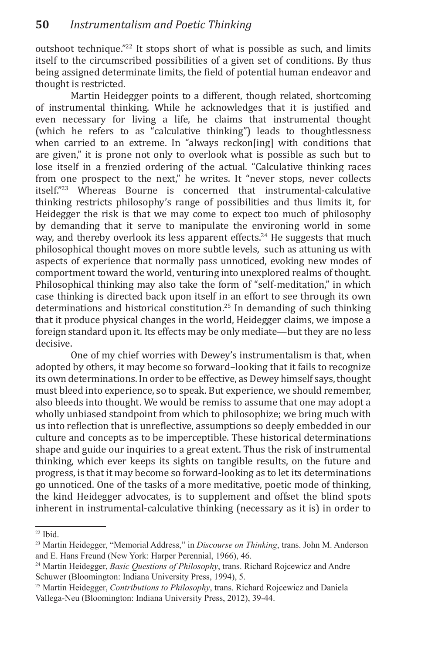outshoot technique."22 It stops short of what is possible as such, and limits itself to the circumscribed possibilities of a given set of conditions. By thus being assigned determinate limits, the field of potential human endeavor and thought is restricted.

Martin Heidegger points to a different, though related, shortcoming of instrumental thinking. While he acknowledges that it is justified and even necessary for living a life, he claims that instrumental thought (which he refers to as "calculative thinking") leads to thoughtlessness when carried to an extreme. In "always reckon[ing] with conditions that are given," it is prone not only to overlook what is possible as such but to lose itself in a frenzied ordering of the actual. "Calculative thinking races from one prospect to the next," he writes. It "never stops, never collects itself."23 Whereas Bourne is concerned that instrumental-calculative thinking restricts philosophy's range of possibilities and thus limits it, for Heidegger the risk is that we may come to expect too much of philosophy by demanding that it serve to manipulate the environing world in some way, and thereby overlook its less apparent effects.<sup>24</sup> He suggests that much philosophical thought moves on more subtle levels, such as attuning us with aspects of experience that normally pass unnoticed, evoking new modes of comportment toward the world, venturing into unexplored realms of thought. Philosophical thinking may also take the form of "self-meditation," in which case thinking is directed back upon itself in an effort to see through its own determinations and historical constitution.25 In demanding of such thinking that it produce physical changes in the world, Heidegger claims, we impose a foreign standard upon it. Its effects may be only mediate—but they are no less decisive.

One of my chief worries with Dewey's instrumentalism is that, when adopted by others, it may become so forward–looking that it fails to recognize its own determinations. In order to be effective, as Dewey himself says, thought must bleed into experience, so to speak. But experience, we should remember, also bleeds into thought. We would be remiss to assume that one may adopt a wholly unbiased standpoint from which to philosophize; we bring much with us into reflection that is unreflective, assumptions so deeply embedded in our culture and concepts as to be imperceptible. These historical determinations shape and guide our inquiries to a great extent. Thus the risk of instrumental thinking, which ever keeps its sights on tangible results, on the future and progress, is that it may become so forward-looking as to let its determinations go unnoticed. One of the tasks of a more meditative, poetic mode of thinking, the kind Heidegger advocates, is to supplement and offset the blind spots inherent in instrumental-calculative thinking (necessary as it is) in order to

 $22$  Ibid.

<sup>23</sup> Martin Heidegger, "Memorial Address," in *Discourse on Thinking*, trans. John M. Anderson and E. Hans Freund (New York: Harper Perennial, 1966), 46.

<sup>24</sup> Martin Heidegger, *Basic Questions of Philosophy*, trans. Richard Rojcewicz and Andre Schuwer (Bloomington: Indiana University Press, 1994), 5.

<sup>25</sup> Martin Heidegger, *Contributions to Philosophy*, trans. Richard Rojcewicz and Daniela Vallega-Neu (Bloomington: Indiana University Press, 2012), 39-44.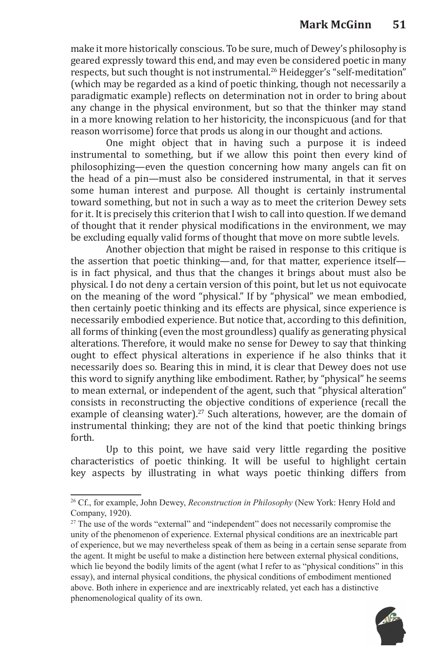make it more historically conscious. To be sure, much of Dewey's philosophy is geared expressly toward this end, and may even be considered poetic in many respects, but such thought is not instrumental.<sup>26</sup> Heidegger's "self-meditation" (which may be regarded as a kind of poetic thinking, though not necessarily a paradigmatic example) reflects on determination not in order to bring about any change in the physical environment, but so that the thinker may stand in a more knowing relation to her historicity, the inconspicuous (and for that reason worrisome) force that prods us along in our thought and actions.

One might object that in having such a purpose it is indeed instrumental to something, but if we allow this point then every kind of philosophizing—even the question concerning how many angels can fit on the head of a pin—must also be considered instrumental, in that it serves some human interest and purpose. All thought is certainly instrumental toward something, but not in such a way as to meet the criterion Dewey sets for it. It is precisely this criterion that I wish to call into question. If we demand of thought that it render physical modifications in the environment, we may be excluding equally valid forms of thought that move on more subtle levels.

Another objection that might be raised in response to this critique is the assertion that poetic thinking—and, for that matter, experience itself is in fact physical, and thus that the changes it brings about must also be physical. I do not deny a certain version of this point, but let us not equivocate on the meaning of the word "physical." If by "physical" we mean embodied, then certainly poetic thinking and its effects are physical, since experience is necessarily embodied experience. But notice that, according to this definition, all forms of thinking (even the most groundless) qualify as generating physical alterations. Therefore, it would make no sense for Dewey to say that thinking ought to effect physical alterations in experience if he also thinks that it necessarily does so. Bearing this in mind, it is clear that Dewey does not use this word to signify anything like embodiment. Rather, by "physical" he seems to mean external, or independent of the agent, such that "physical alteration" consists in reconstructing the objective conditions of experience (recall the example of cleansing water).<sup>27</sup> Such alterations, however, are the domain of instrumental thinking; they are not of the kind that poetic thinking brings forth.

Up to this point, we have said very little regarding the positive characteristics of poetic thinking. It will be useful to highlight certain key aspects by illustrating in what ways poetic thinking differs from

<sup>&</sup>lt;sup>27</sup> The use of the words "external" and "independent" does not necessarily compromise the unity of the phenomenon of experience. External physical conditions are an inextricable part of experience, but we may nevertheless speak of them as being in a certain sense separate from the agent. It might be useful to make a distinction here between external physical conditions, which lie beyond the bodily limits of the agent (what I refer to as "physical conditions" in this essay), and internal physical conditions, the physical conditions of embodiment mentioned above. Both inhere in experience and are inextricably related, yet each has a distinctive phenomenological quality of its own.



<sup>26</sup> Cf., for example, John Dewey, *Reconstruction in Philosophy* (New York: Henry Hold and Company, 1920).